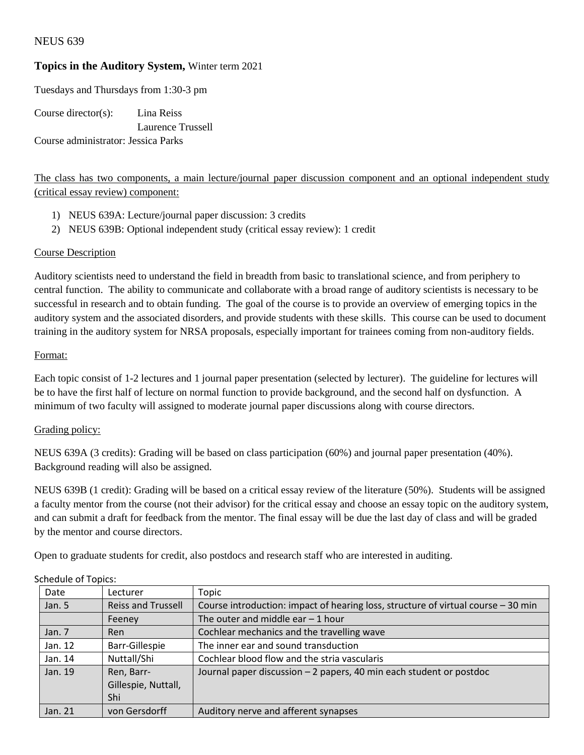# NEUS 639

# **Topics in the Auditory System,** Winter term 2021

Tuesdays and Thursdays from 1:30-3 pm

Course director(s): Lina Reiss Laurence Trussell Course administrator: Jessica Parks

## The class has two components, a main lecture/journal paper discussion component and an optional independent study (critical essay review) component:

- 1) NEUS 639A: Lecture/journal paper discussion: 3 credits
- 2) NEUS 639B: Optional independent study (critical essay review): 1 credit

### Course Description

Auditory scientists need to understand the field in breadth from basic to translational science, and from periphery to central function. The ability to communicate and collaborate with a broad range of auditory scientists is necessary to be successful in research and to obtain funding. The goal of the course is to provide an overview of emerging topics in the auditory system and the associated disorders, and provide students with these skills. This course can be used to document training in the auditory system for NRSA proposals, especially important for trainees coming from non-auditory fields.

### Format:

Each topic consist of 1-2 lectures and 1 journal paper presentation (selected by lecturer). The guideline for lectures will be to have the first half of lecture on normal function to provide background, and the second half on dysfunction. A minimum of two faculty will assigned to moderate journal paper discussions along with course directors.

### Grading policy:

NEUS 639A (3 credits): Grading will be based on class participation (60%) and journal paper presentation (40%). Background reading will also be assigned.

NEUS 639B (1 credit): Grading will be based on a critical essay review of the literature (50%). Students will be assigned a faculty mentor from the course (not their advisor) for the critical essay and choose an essay topic on the auditory system, and can submit a draft for feedback from the mentor. The final essay will be due the last day of class and will be graded by the mentor and course directors.

Open to graduate students for credit, also postdocs and research staff who are interested in auditing.

| Date     | Lecturer            | Topic                                                                             |
|----------|---------------------|-----------------------------------------------------------------------------------|
| Jan. 5   | Reiss and Trussell  | Course introduction: impact of hearing loss, structure of virtual course - 30 min |
|          | Feeney              | The outer and middle ear $-1$ hour                                                |
| Jan. $7$ | Ren                 | Cochlear mechanics and the travelling wave                                        |
| Jan. 12  | Barr-Gillespie      | The inner ear and sound transduction                                              |
| Jan. 14  | Nuttall/Shi         | Cochlear blood flow and the stria vascularis                                      |
| Jan. 19  | Ren, Barr-          | Journal paper discussion - 2 papers, 40 min each student or postdoc               |
|          | Gillespie, Nuttall, |                                                                                   |
|          | Shi                 |                                                                                   |
| Jan. 21  | von Gersdorff       | Auditory nerve and afferent synapses                                              |

#### Schedule of Topics: